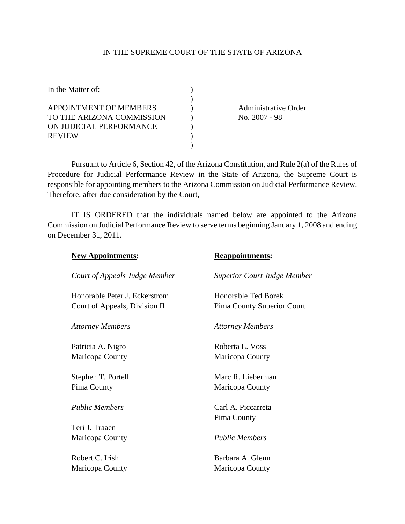## IN THE SUPREME COURT OF THE STATE OF ARIZONA \_\_\_\_\_\_\_\_\_\_\_\_\_\_\_\_\_\_\_\_\_\_\_\_\_\_\_\_\_\_\_\_\_\_\_\_

| In the Matter of:         |  |
|---------------------------|--|
|                           |  |
| APPOINTMENT OF MEMBERS    |  |
| TO THE ARIZONA COMMISSION |  |
| ON JUDICIAL PERFORMANCE   |  |
| <b>REVIEW</b>             |  |
|                           |  |

Administrative Order No. 2007 - 98

Pursuant to Article 6, Section 42, of the Arizona Constitution, and Rule 2(a) of the Rules of Procedure for Judicial Performance Review in the State of Arizona, the Supreme Court is responsible for appointing members to the Arizona Commission on Judicial Performance Review. Therefore, after due consideration by the Court,

IT IS ORDERED that the individuals named below are appointed to the Arizona Commission on Judicial Performance Review to serve terms beginning January 1, 2008 and ending on December 31, 2011.

| <b>New Appointments:</b>      | <b>Reappointments:</b>             |
|-------------------------------|------------------------------------|
| Court of Appeals Judge Member | <b>Superior Court Judge Member</b> |
| Honorable Peter J. Eckerstrom | Honorable Ted Borek                |
| Court of Appeals, Division II | Pima County Superior Court         |
| <b>Attorney Members</b>       | <b>Attorney Members</b>            |
| Patricia A. Nigro             | Roberta L. Voss                    |
| Maricopa County               | Maricopa County                    |
| Stephen T. Portell            | Marc R. Lieberman                  |
| Pima County                   | Maricopa County                    |
| <b>Public Members</b>         | Carl A. Piccarreta                 |
| Teri J. Traaen                | Pima County                        |
| Maricopa County               | <b>Public Members</b>              |
| Robert C. Irish               | Barbara A. Glenn                   |
| Maricopa County               | Maricopa County                    |
|                               |                                    |